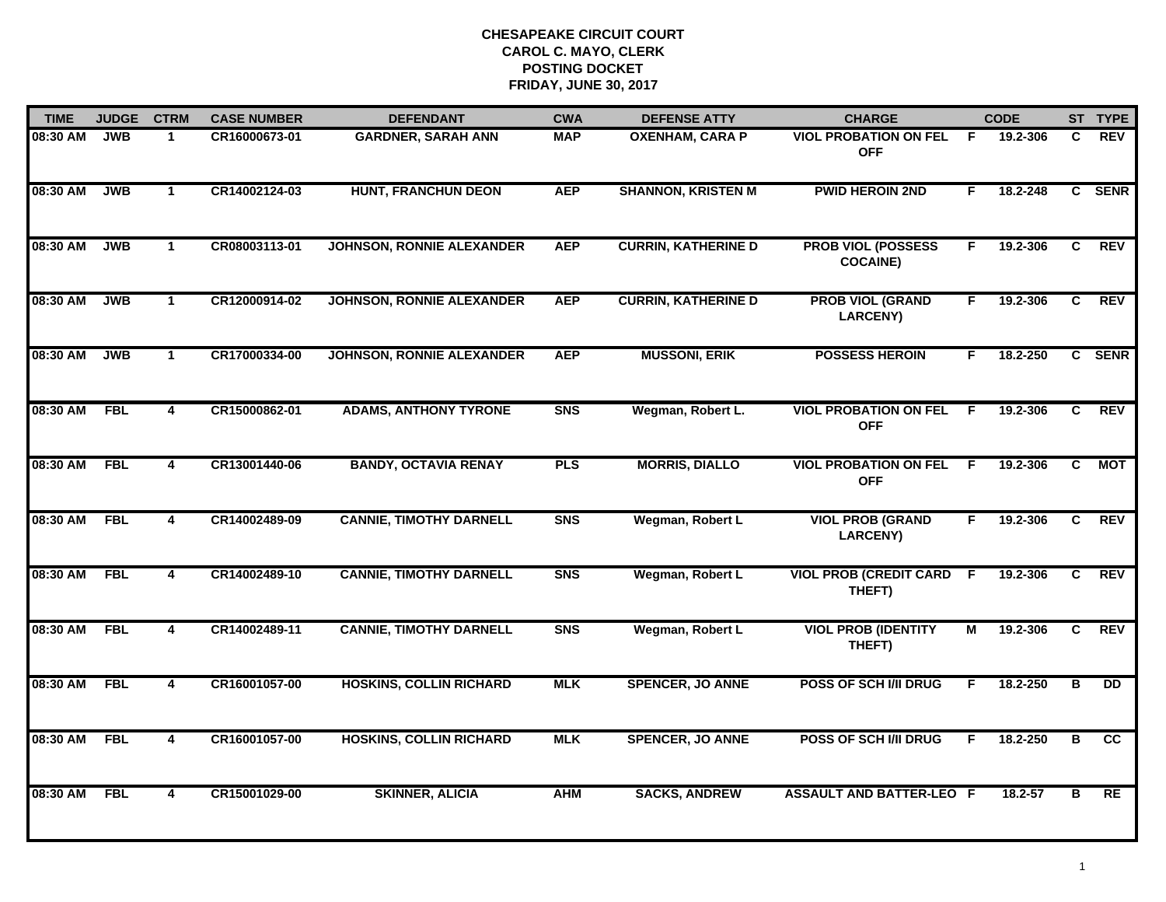| <b>TIME</b> | <b>JUDGE</b> | <b>CTRM</b>             | <b>CASE NUMBER</b> | <b>DEFENDANT</b>                 | <b>CWA</b>     | <b>DEFENSE ATTY</b>        | <b>CHARGE</b>                                |                | <b>CODE</b> |                         | ST TYPE         |
|-------------|--------------|-------------------------|--------------------|----------------------------------|----------------|----------------------------|----------------------------------------------|----------------|-------------|-------------------------|-----------------|
| 08:30 AM    | <b>JWB</b>   | $\mathbf 1$             | CR16000673-01      | <b>GARDNER, SARAH ANN</b>        | <b>MAP</b>     | <b>OXENHAM, CARA P</b>     | <b>VIOL PROBATION ON FEL</b><br><b>OFF</b>   | -F.            | 19.2-306    | C.                      | REV             |
| 08:30 AM    | <b>JWB</b>   | $\mathbf{1}$            | CR14002124-03      | <b>HUNT, FRANCHUN DEON</b>       | <b>AEP</b>     | <b>SHANNON, KRISTEN M</b>  | <b>PWID HEROIN 2ND</b>                       | F.             | 18.2-248    | $\overline{c}$          | <b>SENR</b>     |
| 08:30 AM    | <b>JWB</b>   | $\mathbf{1}$            | CR08003113-01      | <b>JOHNSON, RONNIE ALEXANDER</b> | <b>AEP</b>     | <b>CURRIN, KATHERINE D</b> | <b>PROB VIOL (POSSESS</b><br><b>COCAINE)</b> | F.             | 19.2-306    | C                       | <b>REV</b>      |
| 08:30 AM    | <b>JWB</b>   | 1                       | CR12000914-02      | <b>JOHNSON, RONNIE ALEXANDER</b> | <b>AEP</b>     | <b>CURRIN, KATHERINE D</b> | <b>PROB VIOL (GRAND</b><br><b>LARCENY)</b>   | F.             | 19.2-306    | C                       | <b>REV</b>      |
| 08:30 AM    | <b>JWB</b>   | $\mathbf{1}$            | CR17000334-00      | <b>JOHNSON, RONNIE ALEXANDER</b> | <b>AEP</b>     | <b>MUSSONI, ERIK</b>       | <b>POSSESS HEROIN</b>                        | F.             | 18.2-250    |                         | C SENR          |
| 08:30 AM    | FBL          | 4                       | CR15000862-01      | <b>ADAMS, ANTHONY TYRONE</b>     | <b>SNS</b>     | Wegman, Robert L.          | <b>VIOL PROBATION ON FEL</b><br><b>OFF</b>   | -F             | 19.2-306    | C.                      | <b>REV</b>      |
| 08:30 AM    | <b>FBL</b>   | $\overline{\mathbf{4}}$ | CR13001440-06      | <b>BANDY, OCTAVIA RENAY</b>      | <b>PLS</b>     | <b>MORRIS, DIALLO</b>      | <b>VIOL PROBATION ON FEL</b><br><b>OFF</b>   | $\overline{F}$ | 19.2-306    | $\overline{c}$          | MOT             |
| 08:30 AM    | <b>FBL</b>   | 4                       | CR14002489-09      | <b>CANNIE, TIMOTHY DARNELL</b>   | <b>SNS</b>     | Wegman, Robert L           | <b>VIOL PROB (GRAND</b><br><b>LARCENY)</b>   | F.             | 19.2-306    | C.                      | <b>REV</b>      |
| 08:30 AM    | <b>FBL</b>   | 4                       | CR14002489-10      | <b>CANNIE, TIMOTHY DARNELL</b>   | S <sub>N</sub> | Wegman, Robert L           | <b>VIOL PROB (CREDIT CARD</b><br>THEFT)      | -F             | 19.2-306    | C                       | <b>REV</b>      |
| 08:30 AM    | <b>FBL</b>   | 4                       | CR14002489-11      | <b>CANNIE, TIMOTHY DARNELL</b>   | S <sub>N</sub> | Wegman, Robert L           | <b>VIOL PROB (IDENTITY</b><br>THEFT)         | М              | 19.2-306    | C                       | <b>REV</b>      |
| 08:30 AM    | <b>FBL</b>   | 4                       | CR16001057-00      | <b>HOSKINS, COLLIN RICHARD</b>   | <b>MLK</b>     | <b>SPENCER, JO ANNE</b>    | <b>POSS OF SCH I/II DRUG</b>                 | F.             | 18.2-250    | B                       | <b>DD</b>       |
| 08:30 AM    | FBL          | 4                       | CR16001057-00      | <b>HOSKINS, COLLIN RICHARD</b>   | <b>MLK</b>     | <b>SPENCER, JO ANNE</b>    | <b>POSS OF SCH I/II DRUG</b>                 | F.             | 18.2-250    | $\overline{\mathbf{B}}$ | $\overline{cc}$ |
| 08:30 AM    | <b>FBL</b>   | 4                       | CR15001029-00      | <b>SKINNER, ALICIA</b>           | <b>AHM</b>     | <b>SACKS, ANDREW</b>       | <b>ASSAULT AND BATTER-LEO F</b>              |                | $18.2 - 57$ | в                       | RE              |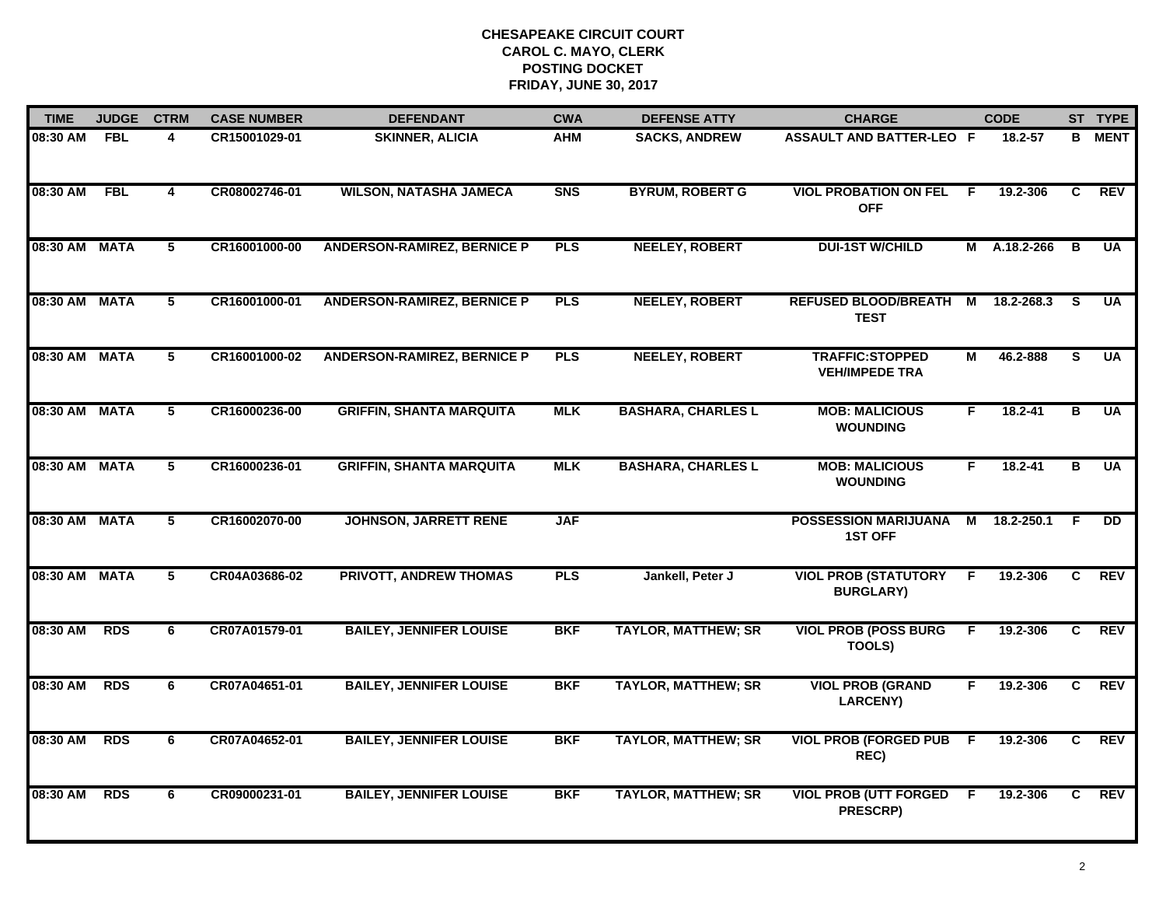| <b>TIME</b>   | <b>JUDGE</b> | <b>CTRM</b>             | <b>CASE NUMBER</b> | <b>DEFENDANT</b>                   | <b>CWA</b> | <b>DEFENSE ATTY</b>        | <b>CHARGE</b>                                   |                | <b>CODE</b>  |                         | ST TYPE         |
|---------------|--------------|-------------------------|--------------------|------------------------------------|------------|----------------------------|-------------------------------------------------|----------------|--------------|-------------------------|-----------------|
| 08:30 AM      | <b>FBL</b>   | 4                       | CR15001029-01      | <b>SKINNER, ALICIA</b>             | <b>AHM</b> | <b>SACKS, ANDREW</b>       | <b>ASSAULT AND BATTER-LEO F</b>                 |                | 18.2-57      | B                       | <b>MENT</b>     |
| 08:30 AM      | FBL          | $\overline{\mathbf{4}}$ | CR08002746-01      | <b>WILSON, NATASHA JAMECA</b>      | <b>SNS</b> | <b>BYRUM, ROBERT G</b>     | <b>VIOL PROBATION ON FEL</b><br><b>OFF</b>      | -F             | 19.2-306     | C                       | <b>REV</b>      |
| 08:30 AM MATA |              | 5                       | CR16001000-00      | <b>ANDERSON-RAMIREZ, BERNICE P</b> | <b>PLS</b> | <b>NEELEY, ROBERT</b>      | <b>DUI-1ST W/CHILD</b>                          |                | M A.18.2-266 | B                       | <b>UA</b>       |
| 08:30 AM      | MATA         | 5                       | CR16001000-01      | <b>ANDERSON-RAMIREZ, BERNICE P</b> | <b>PLS</b> | <b>NEELEY, ROBERT</b>      | <b>REFUSED BLOOD/BREATH</b><br><b>TEST</b>      | M              | 18.2-268.3   | -S                      | <b>UA</b>       |
| 08:30 AM MATA |              | 5                       | CR16001000-02      | <b>ANDERSON-RAMIREZ, BERNICE P</b> | <b>PLS</b> | <b>NEELEY, ROBERT</b>      | <b>TRAFFIC:STOPPED</b><br><b>VEH/IMPEDE TRA</b> | М              | 46.2-888     | S.                      | <b>UA</b>       |
| 08:30 AM MATA |              | 5                       | CR16000236-00      | <b>GRIFFIN, SHANTA MARQUITA</b>    | <b>MLK</b> | <b>BASHARA, CHARLES L</b>  | <b>MOB: MALICIOUS</b><br><b>WOUNDING</b>        | F.             | $18.2 - 41$  | $\overline{\mathbf{B}}$ | <b>UA</b>       |
| 08:30 AM MATA |              | $\overline{5}$          | CR16000236-01      | <b>GRIFFIN, SHANTA MARQUITA</b>    | <b>MLK</b> | <b>BASHARA, CHARLES L</b>  | <b>MOB: MALICIOUS</b><br><b>WOUNDING</b>        | F              | $18.2 - 41$  | $\overline{\mathbf{B}}$ | <b>UA</b>       |
| 08:30 AM MATA |              | $\overline{5}$          | CR16002070-00      | <b>JOHNSON, JARRETT RENE</b>       | <b>JAF</b> |                            | <b>POSSESSION MARIJUANA</b><br><b>1ST OFF</b>   | $\overline{M}$ | 18.2-250.1   | F.                      | $\overline{DD}$ |
| 08:30 AM MATA |              | 5                       | CR04A03686-02      | <b>PRIVOTT, ANDREW THOMAS</b>      | <b>PLS</b> | Jankell, Peter J           | <b>VIOL PROB (STATUTORY</b><br><b>BURGLARY)</b> | F              | 19.2-306     | C                       | <b>REV</b>      |
| 08:30 AM      | <b>RDS</b>   | 6                       | CR07A01579-01      | <b>BAILEY, JENNIFER LOUISE</b>     | <b>BKF</b> | <b>TAYLOR, MATTHEW; SR</b> | <b>VIOL PROB (POSS BURG)</b><br>TOOLS)          | F.             | 19.2-306     | C                       | <b>REV</b>      |
| 08:30 AM      | <b>RDS</b>   | 6                       | CR07A04651-01      | <b>BAILEY, JENNIFER LOUISE</b>     | <b>BKF</b> | <b>TAYLOR, MATTHEW; SR</b> | <b>VIOL PROB (GRAND</b><br><b>LARCENY)</b>      | F.             | 19.2-306     | C                       | REV             |
| 08:30 AM      | <b>RDS</b>   | 6                       | CR07A04652-01      | <b>BAILEY, JENNIFER LOUISE</b>     | <b>BKF</b> | <b>TAYLOR, MATTHEW; SR</b> | <b>VIOL PROB (FORGED PUB</b><br>REC)            | $\overline{F}$ | 19.2-306     | $\overline{c}$          | <b>REV</b>      |
| 08:30 AM      | <b>RDS</b>   | 6                       | CR09000231-01      | <b>BAILEY, JENNIFER LOUISE</b>     | <b>BKF</b> | <b>TAYLOR, MATTHEW; SR</b> | <b>VIOL PROB (UTT FORGED F</b><br>PRESCRP)      |                | 19.2-306     | C.                      | <b>REV</b>      |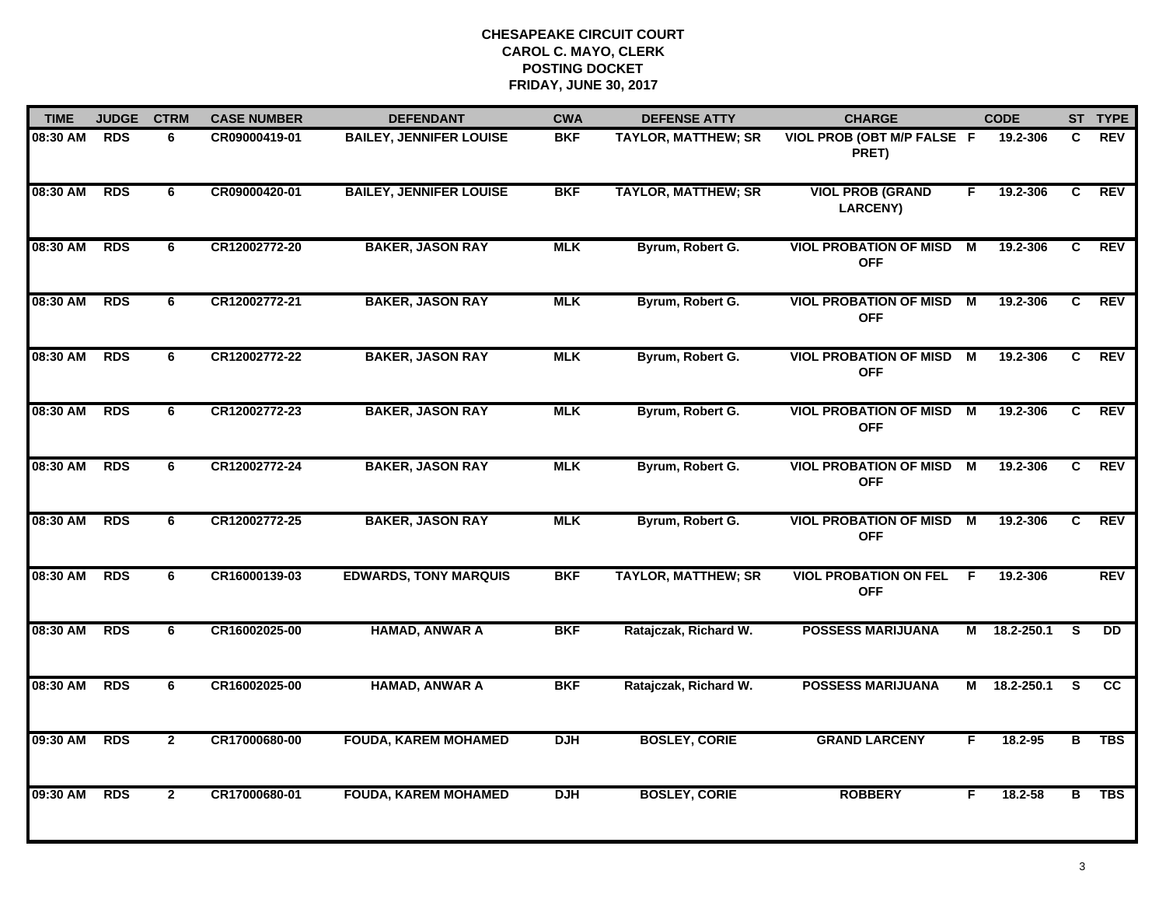| <b>TIME</b> | <b>JUDGE</b> | <b>CTRM</b>    | <b>CASE NUMBER</b> | <b>DEFENDANT</b>               | <b>CWA</b> | <b>DEFENSE ATTY</b>        | <b>CHARGE</b>                                 |                | <b>CODE</b> |                | ST TYPE    |
|-------------|--------------|----------------|--------------------|--------------------------------|------------|----------------------------|-----------------------------------------------|----------------|-------------|----------------|------------|
| 08:30 AM    | <b>RDS</b>   | 6              | CR09000419-01      | <b>BAILEY, JENNIFER LOUISE</b> | <b>BKF</b> | <b>TAYLOR, MATTHEW; SR</b> | VIOL PROB (OBT M/P FALSE F<br>PRET)           |                | 19.2-306    | C.             | <b>REV</b> |
| 08:30 AM    | <b>RDS</b>   | 6              | CR09000420-01      | <b>BAILEY, JENNIFER LOUISE</b> | <b>BKF</b> | <b>TAYLOR, MATTHEW; SR</b> | <b>VIOL PROB (GRAND</b><br><b>LARCENY)</b>    | F              | 19.2-306    | C              | <b>REV</b> |
| 08:30 AM    | <b>RDS</b>   | 6              | CR12002772-20      | <b>BAKER, JASON RAY</b>        | <b>MLK</b> | Byrum, Robert G.           | <b>VIOL PROBATION OF MISD</b><br><b>OFF</b>   | M              | 19.2-306    | C              | <b>REV</b> |
| 08:30 AM    | <b>RDS</b>   | 6              | CR12002772-21      | <b>BAKER, JASON RAY</b>        | <b>MLK</b> | Byrum, Robert G.           | <b>VIOL PROBATION OF MISD</b><br><b>OFF</b>   | М              | 19.2-306    | C              | <b>REV</b> |
| 08:30 AM    | <b>RDS</b>   | 6              | CR12002772-22      | <b>BAKER, JASON RAY</b>        | <b>MLK</b> | Byrum, Robert G.           | <b>VIOL PROBATION OF MISD</b><br><b>OFF</b>   | M              | 19.2-306    | C              | <b>REV</b> |
| 08:30 AM    | <b>RDS</b>   | 6              | CR12002772-23      | <b>BAKER, JASON RAY</b>        | <b>MLK</b> | Byrum, Robert G.           | <b>VIOL PROBATION OF MISD M</b><br><b>OFF</b> |                | 19.2-306    | C              | REV        |
| 08:30 AM    | <b>RDS</b>   | 6              | CR12002772-24      | <b>BAKER, JASON RAY</b>        | <b>MLK</b> | Byrum, Robert G.           | <b>VIOL PROBATION OF MISD</b><br><b>OFF</b>   | $\overline{M}$ | 19.2-306    | C              | <b>REV</b> |
| 08:30 AM    | <b>RDS</b>   | 6              | CR12002772-25      | <b>BAKER, JASON RAY</b>        | <b>MLK</b> | Byrum, Robert G.           | <b>VIOL PROBATION OF MISD</b><br><b>OFF</b>   | М              | 19.2-306    | C              | <b>REV</b> |
| 08:30 AM    | <b>RDS</b>   | 6              | CR16000139-03      | <b>EDWARDS, TONY MARQUIS</b>   | <b>BKF</b> | <b>TAYLOR, MATTHEW; SR</b> | <b>VIOL PROBATION ON FEL</b><br><b>OFF</b>    | - F            | 19.2-306    |                | <b>REV</b> |
| 08:30 AM    | <b>RDS</b>   | 6              | CR16002025-00      | <b>HAMAD, ANWAR A</b>          | <b>BKF</b> | Ratajczak, Richard W.      | <b>POSSESS MARIJUANA</b>                      | М              | 18.2-250.1  | S              | <b>DD</b>  |
| 08:30 AM    | <b>RDS</b>   | 6              | CR16002025-00      | <b>HAMAD, ANWAR A</b>          | <b>BKF</b> | Ratajczak, Richard W.      | <b>POSSESS MARIJUANA</b>                      | М              | 18.2-250.1  | <b>S</b>       | <b>CC</b>  |
| 09:30 AM    | <b>RDS</b>   | $\overline{2}$ | CR17000680-00      | <b>FOUDA, KAREM MOHAMED</b>    | <b>DJH</b> | <b>BOSLEY, CORIE</b>       | <b>GRAND LARCENY</b>                          | F              | 18.2-95     | $\overline{B}$ | <b>TBS</b> |
| 09:30 AM    | <b>RDS</b>   | $\mathbf{2}$   | CR17000680-01      | <b>FOUDA, KAREM MOHAMED</b>    | <b>DJH</b> | <b>BOSLEY, CORIE</b>       | <b>ROBBERY</b>                                | F.             | 18.2-58     | В              | <b>TBS</b> |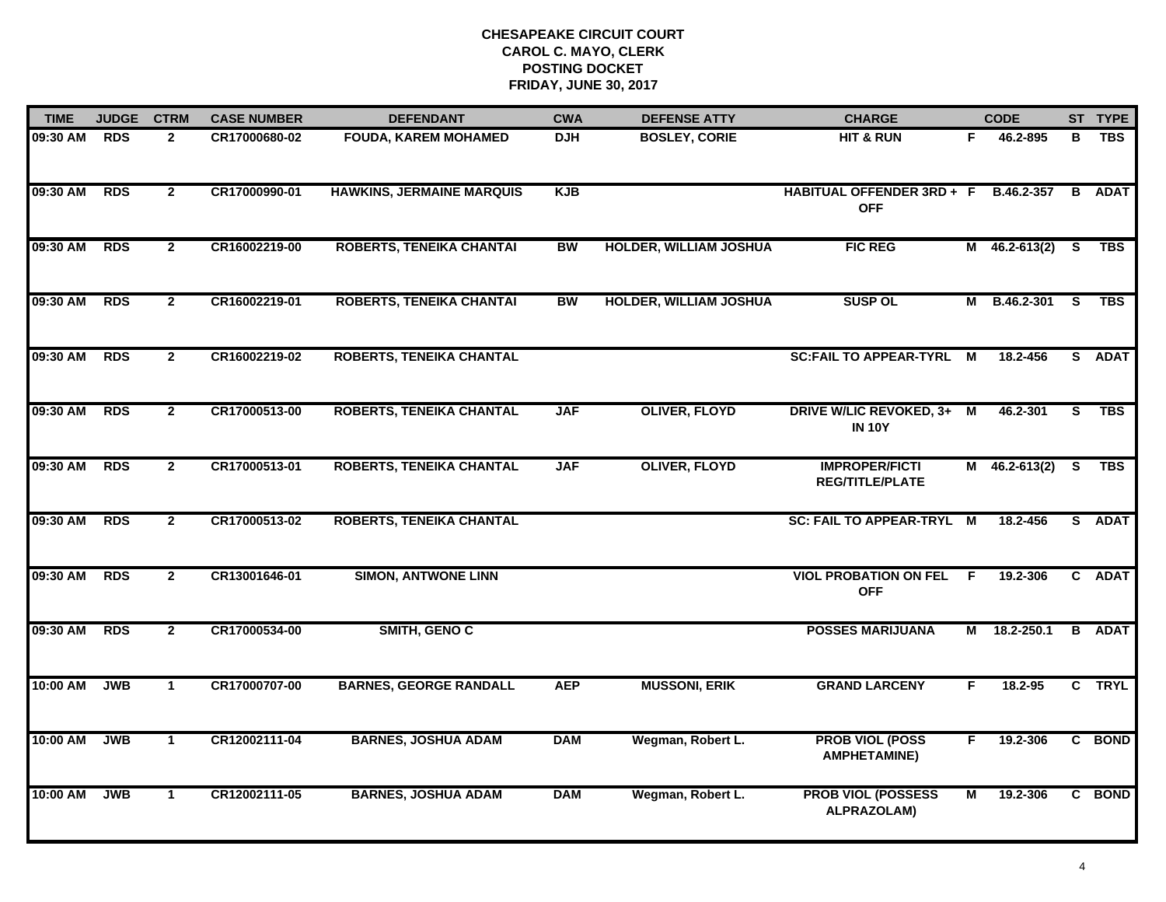| <b>TIME</b>  | <b>JUDGE</b> | <b>CTRM</b>    | <b>CASE NUMBER</b> | <b>DEFENDANT</b>                 | <b>CWA</b> | <b>DEFENSE ATTY</b>           | <b>CHARGE</b>                                      |     | <b>CODE</b>     |                | ST TYPE       |
|--------------|--------------|----------------|--------------------|----------------------------------|------------|-------------------------------|----------------------------------------------------|-----|-----------------|----------------|---------------|
| 09:30 AM RDS |              | $\mathbf{2}$   | CR17000680-02      | <b>FOUDA, KAREM MOHAMED</b>      | <b>DJH</b> | <b>BOSLEY, CORIE</b>          | <b>HIT &amp; RUN</b>                               | F.  | 46.2-895        | в              | <b>TBS</b>    |
| 09:30 AM     | <b>RDS</b>   | $\overline{2}$ | CR17000990-01      | <b>HAWKINS, JERMAINE MARQUIS</b> | <b>KJB</b> |                               | HABITUAL OFFENDER 3RD + F B.46.2-357<br><b>OFF</b> |     |                 | $\overline{B}$ | <b>ADAT</b>   |
| 09:30 AM     | <b>RDS</b>   | $\overline{2}$ | CR16002219-00      | <b>ROBERTS, TENEIKA CHANTAI</b>  | <b>BW</b>  | <b>HOLDER, WILLIAM JOSHUA</b> | <b>FIC REG</b>                                     |     | $M$ 46.2-613(2) | <b>S</b>       | <b>TBS</b>    |
| 09:30 AM     | <b>RDS</b>   | $\overline{2}$ | CR16002219-01      | <b>ROBERTS, TENEIKA CHANTAI</b>  | <b>BW</b>  | <b>HOLDER, WILLIAM JOSHUA</b> | <b>SUSP OL</b>                                     | М   | B.46.2-301      | - S            | <b>TBS</b>    |
| 09:30 AM     | <b>RDS</b>   | $\mathbf{2}$   | CR16002219-02      | <b>ROBERTS, TENEIKA CHANTAL</b>  |            |                               | <b>SC:FAIL TO APPEAR-TYRL</b>                      | М   | 18.2-456        |                | S ADAT        |
| 09:30 AM     | <b>RDS</b>   | $\mathbf{2}$   | CR17000513-00      | <b>ROBERTS, TENEIKA CHANTAL</b>  | <b>JAF</b> | <b>OLIVER, FLOYD</b>          | DRIVE W/LIC REVOKED, 3+ M<br><b>IN 10Y</b>         |     | 46.2-301        | S.             | TBS           |
| 09:30 AM     | <b>RDS</b>   | $\overline{2}$ | CR17000513-01      | <b>ROBERTS, TENEIKA CHANTAL</b>  | <b>JAF</b> | <b>OLIVER, FLOYD</b>          | <b>IMPROPER/FICTI</b><br><b>REG/TITLE/PLATE</b>    |     | $M$ 46.2-613(2) | S              | <b>TBS</b>    |
| 09:30 AM     | <b>RDS</b>   | $\mathbf{2}$   | CR17000513-02      | <b>ROBERTS, TENEIKA CHANTAL</b>  |            |                               | <b>SC: FAIL TO APPEAR-TRYL M</b>                   |     | 18.2-456        |                | S ADAT        |
| 09:30 AM     | <b>RDS</b>   | $\mathbf{2}$   | CR13001646-01      | <b>SIMON, ANTWONE LINN</b>       |            |                               | <b>VIOL PROBATION ON FEL</b><br><b>OFF</b>         | - F | 19.2-306        |                | C ADAT        |
| 09:30 AM     | <b>RDS</b>   | $\overline{2}$ | CR17000534-00      | SMITH, GENO C                    |            |                               | <b>POSSES MARIJUANA</b>                            | М   | 18.2-250.1      |                | <b>B</b> ADAT |
| 10:00 AM     | <b>JWB</b>   | $\mathbf{1}$   | CR17000707-00      | <b>BARNES, GEORGE RANDALL</b>    | <b>AEP</b> | <b>MUSSONI, ERIK</b>          | <b>GRAND LARCENY</b>                               | F.  | 18.2-95         |                | C TRYL        |
| 10:00 AM     | <b>JWB</b>   | $\mathbf{1}$   | CR12002111-04      | <b>BARNES, JOSHUA ADAM</b>       | <b>DAM</b> | Wegman, Robert L.             | <b>PROB VIOL (POSS</b><br><b>AMPHETAMINE)</b>      | F.  | 19.2-306        |                | C BOND        |
| 10:00 AM     | <b>JWB</b>   | $\mathbf 1$    | CR12002111-05      | <b>BARNES, JOSHUA ADAM</b>       | <b>DAM</b> | Wegman, Robert L.             | <b>PROB VIOL (POSSESS</b><br>ALPRAZOLAM)           | М   | 19.2-306        |                | C BOND        |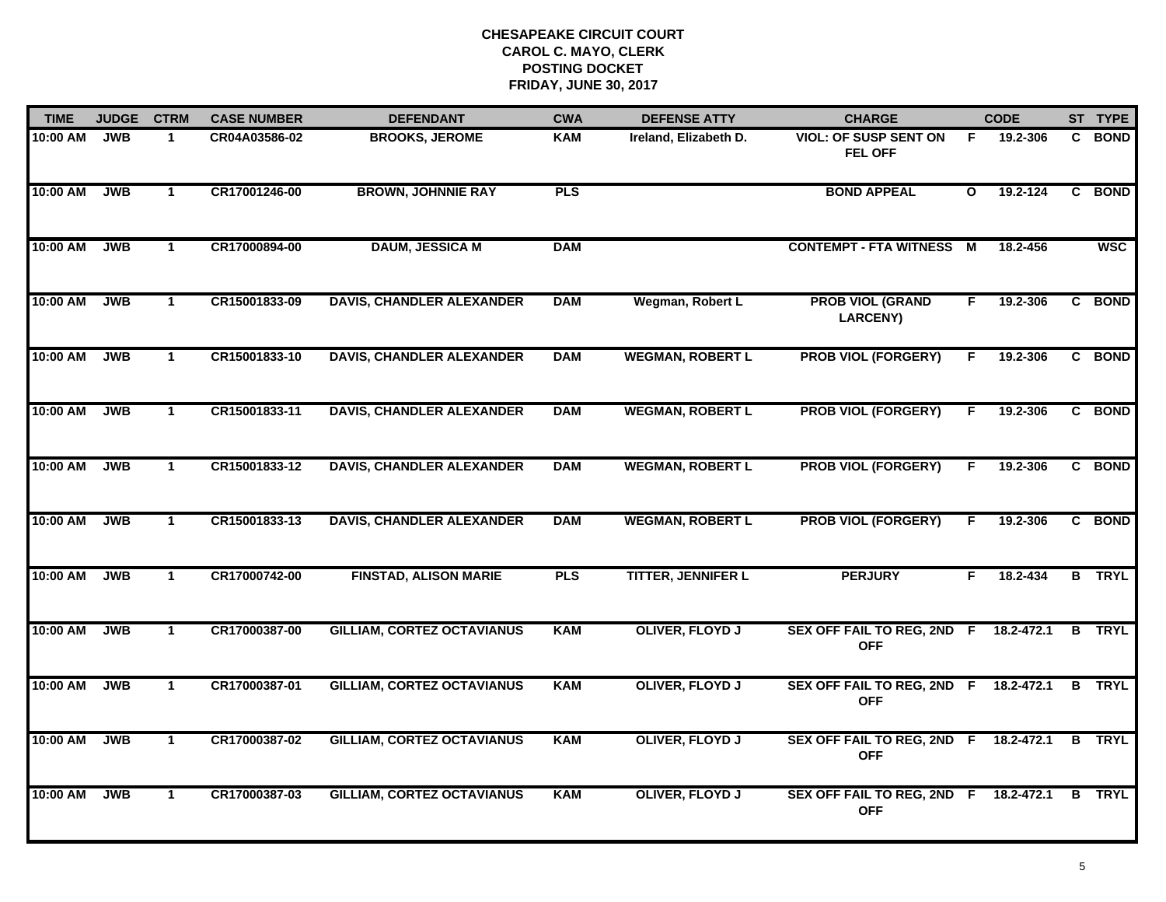| <b>TIME</b> | <b>JUDGE</b> | <b>CTRM</b>  | <b>CASE NUMBER</b> | <b>DEFENDANT</b>                  | <b>CWA</b> | <b>DEFENSE ATTY</b>       | <b>CHARGE</b>                                       |              | <b>CODE</b> |   | ST TYPE       |
|-------------|--------------|--------------|--------------------|-----------------------------------|------------|---------------------------|-----------------------------------------------------|--------------|-------------|---|---------------|
| 10:00 AM    | <b>JWB</b>   | $\mathbf 1$  | CR04A03586-02      | <b>BROOKS, JEROME</b>             | <b>KAM</b> | Ireland, Elizabeth D.     | <b>VIOL: OF SUSP SENT ON</b><br><b>FEL OFF</b>      | F.           | 19.2-306    |   | C BOND        |
| 10:00 AM    | <b>JWB</b>   | $\mathbf{1}$ | CR17001246-00      | <b>BROWN, JOHNNIE RAY</b>         | <b>PLS</b> |                           | <b>BOND APPEAL</b>                                  | $\mathbf{o}$ | 19.2-124    | C | <b>BOND</b>   |
| 10:00 AM    | <b>JWB</b>   | $\mathbf{1}$ | CR17000894-00      | <b>DAUM, JESSICA M</b>            | <b>DAM</b> |                           | <b>CONTEMPT - FTA WITNESS</b>                       | М            | 18.2-456    |   | <b>WSC</b>    |
| 10:00 AM    | <b>JWB</b>   | $\mathbf 1$  | CR15001833-09      | <b>DAVIS, CHANDLER ALEXANDER</b>  | <b>DAM</b> | Wegman, Robert L          | <b>PROB VIOL (GRAND</b><br><b>LARCENY)</b>          | F.           | 19.2-306    |   | C BOND        |
| 10:00 AM    | <b>JWB</b>   | $\mathbf{1}$ | CR15001833-10      | <b>DAVIS, CHANDLER ALEXANDER</b>  | <b>DAM</b> | <b>WEGMAN, ROBERT L</b>   | <b>PROB VIOL (FORGERY)</b>                          | F.           | 19.2-306    |   | C BOND        |
| 10:00 AM    | <b>JWB</b>   | $\mathbf{1}$ | CR15001833-11      | <b>DAVIS, CHANDLER ALEXANDER</b>  | <b>DAM</b> | <b>WEGMAN, ROBERT L</b>   | <b>PROB VIOL (FORGERY)</b>                          | F            | 19.2-306    |   | C BOND        |
| 10:00 AM    | <b>JWB</b>   | $\mathbf{1}$ | CR15001833-12      | <b>DAVIS, CHANDLER ALEXANDER</b>  | <b>DAM</b> | <b>WEGMAN, ROBERT L</b>   | <b>PROB VIOL (FORGERY)</b>                          | F.           | 19.2-306    |   | C BOND        |
| 10:00 AM    | <b>JWB</b>   | $\mathbf{1}$ | CR15001833-13      | <b>DAVIS, CHANDLER ALEXANDER</b>  | <b>DAM</b> | <b>WEGMAN, ROBERT L</b>   | <b>PROB VIOL (FORGERY)</b>                          | F            | 19.2-306    |   | C BOND        |
| 10:00 AM    | <b>JWB</b>   | $\mathbf 1$  | CR17000742-00      | <b>FINSTAD, ALISON MARIE</b>      | <b>PLS</b> | <b>TITTER, JENNIFER L</b> | <b>PERJURY</b>                                      | F.           | 18.2-434    |   | <b>B</b> TRYL |
| 10:00 AM    | <b>JWB</b>   | $\mathbf{1}$ | CR17000387-00      | <b>GILLIAM, CORTEZ OCTAVIANUS</b> | <b>KAM</b> | <b>OLIVER, FLOYD J</b>    | SEX OFF FAIL TO REG, 2ND F<br><b>OFF</b>            |              | 18.2-472.1  |   | <b>B</b> TRYL |
| 10:00 AM    | <b>JWB</b>   | $\mathbf{1}$ | CR17000387-01      | <b>GILLIAM, CORTEZ OCTAVIANUS</b> | <b>KAM</b> | <b>OLIVER, FLOYD J</b>    | SEX OFF FAIL TO REG, 2ND F 18.2-472.1<br><b>OFF</b> |              |             |   | <b>B</b> TRYL |
| 10:00 AM    | <b>JWB</b>   | $\mathbf{1}$ | CR17000387-02      | <b>GILLIAM, CORTEZ OCTAVIANUS</b> | <b>KAM</b> | <b>OLIVER, FLOYD J</b>    | SEX OFF FAIL TO REG, 2ND F 18.2-472.1<br><b>OFF</b> |              |             |   | <b>B</b> TRYL |
| 10:00 AM    | <b>JWB</b>   | $\mathbf 1$  | CR17000387-03      | <b>GILLIAM, CORTEZ OCTAVIANUS</b> | <b>KAM</b> | <b>OLIVER, FLOYD J</b>    | SEX OFF FAIL TO REG, 2ND F 18.2-472.1<br><b>OFF</b> |              |             |   | <b>B</b> TRYL |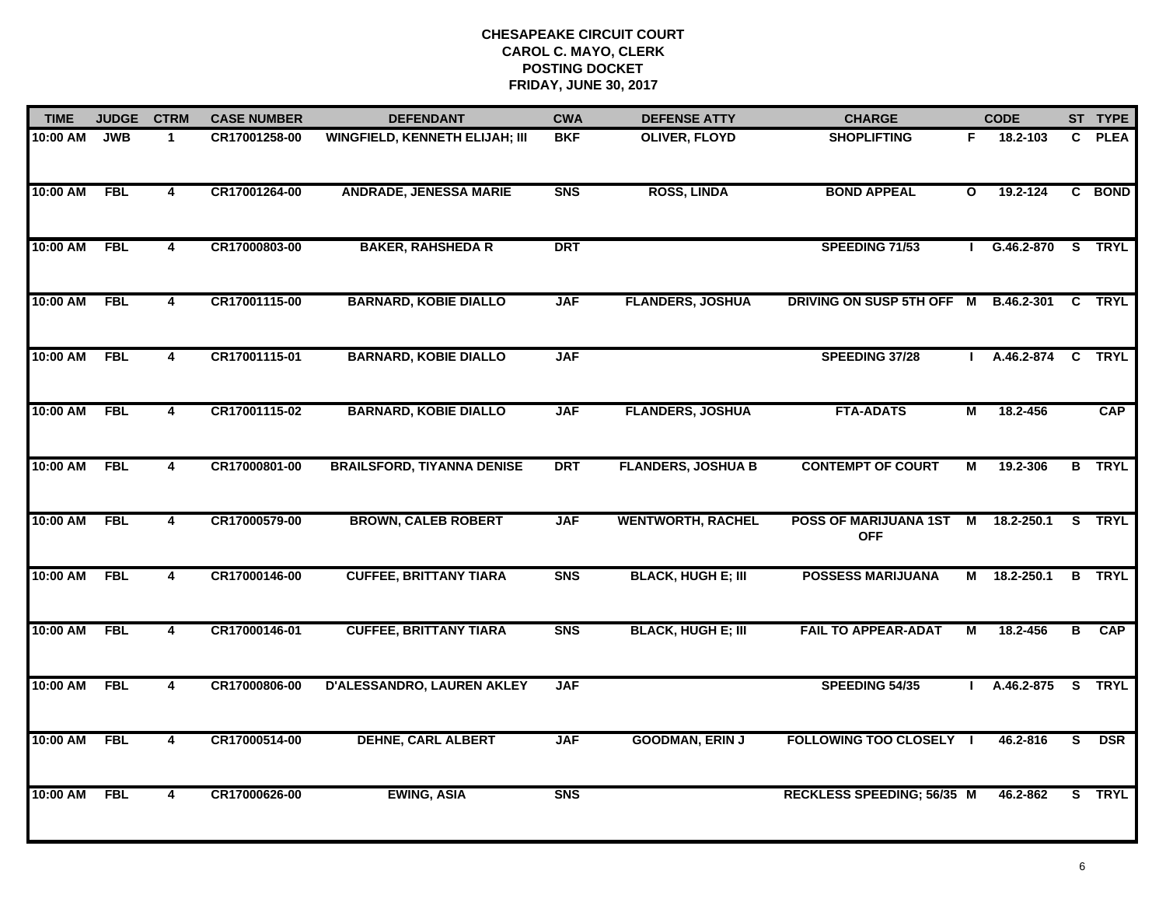| <b>TIME</b> | <b>JUDGE</b> | <b>CTRM</b>             | <b>CASE NUMBER</b> | <b>DEFENDANT</b>                      | <b>CWA</b>     | <b>DEFENSE ATTY</b>       | <b>CHARGE</b>                        |              | <b>CODE</b>       |   | ST TYPE       |
|-------------|--------------|-------------------------|--------------------|---------------------------------------|----------------|---------------------------|--------------------------------------|--------------|-------------------|---|---------------|
| 10:00 AM    | <b>JWB</b>   | $\mathbf{1}$            | CR17001258-00      | <b>WINGFIELD, KENNETH ELIJAH; III</b> | <b>BKF</b>     | <b>OLIVER, FLOYD</b>      | <b>SHOPLIFTING</b>                   | F.           | 18.2-103          |   | C PLEA        |
| 10:00 AM    | <b>FBL</b>   | $\overline{\mathbf{4}}$ | CR17001264-00      | <b>ANDRADE, JENESSA MARIE</b>         | <b>SNS</b>     | <b>ROSS, LINDA</b>        | <b>BOND APPEAL</b>                   | $\mathbf{o}$ | 19.2-124          |   | C BOND        |
| 10:00 AM    | <b>FBL</b>   | 4                       | CR17000803-00      | <b>BAKER, RAHSHEDA R</b>              | <b>DRT</b>     |                           | SPEEDING 71/53                       |              | G.46.2-870 S TRYL |   |               |
| 10:00 AM    | <b>FBL</b>   | 4                       | CR17001115-00      | <b>BARNARD, KOBIE DIALLO</b>          | <b>JAF</b>     | <b>FLANDERS, JOSHUA</b>   | DRIVING ON SUSP 5TH OFF M B.46.2-301 |              |                   |   | <b>C</b> TRYL |
| 10:00 AM    | <b>FBL</b>   | 4                       | CR17001115-01      | <b>BARNARD, KOBIE DIALLO</b>          | <b>JAF</b>     |                           | SPEEDING 37/28                       | $\mathbf{L}$ | A.46.2-874        |   | C TRYL        |
| 10:00 AM    | <b>FBL</b>   | $\overline{\mathbf{4}}$ | CR17001115-02      | <b>BARNARD, KOBIE DIALLO</b>          | <b>JAF</b>     | <b>FLANDERS, JOSHUA</b>   | <b>FTA-ADATS</b>                     | М            | 18.2-456          |   | <b>CAP</b>    |
| 10:00 AM    | <b>FBL</b>   | 4                       | CR17000801-00      | <b>BRAILSFORD, TIYANNA DENISE</b>     | <b>DRT</b>     | <b>FLANDERS, JOSHUA B</b> | <b>CONTEMPT OF COURT</b>             | М            | 19.2-306          |   | <b>B</b> TRYL |
| 10:00 AM    | <b>FBL</b>   | 4                       | CR17000579-00      | <b>BROWN, CALEB ROBERT</b>            | <b>JAF</b>     | <b>WENTWORTH, RACHEL</b>  | POSS OF MARIJUANA 1ST<br><b>OFF</b>  | M            | 18.2-250.1        |   | S TRYL        |
| 10:00 AM    | <b>FBL</b>   | 4                       | CR17000146-00      | <b>CUFFEE, BRITTANY TIARA</b>         | S <sub>N</sub> | <b>BLACK, HUGH E; III</b> | <b>POSSESS MARIJUANA</b>             |              | M 18.2-250.1      |   | <b>B</b> TRYL |
| 10:00 AM    | <b>FBL</b>   | 4                       | CR17000146-01      | <b>CUFFEE, BRITTANY TIARA</b>         | <b>SNS</b>     | <b>BLACK, HUGH E; III</b> | <b>FAIL TO APPEAR-ADAT</b>           | м            | 18.2-456          | B | <b>CAP</b>    |
| 10:00 AM    | <b>FBL</b>   | 4                       | CR17000806-00      | D'ALESSANDRO, LAUREN AKLEY            | <b>JAF</b>     |                           | SPEEDING 54/35                       |              | A.46.2-875 S TRYL |   |               |
| 10:00 AM    | <b>FBL</b>   | 4                       | CR17000514-00      | <b>DEHNE, CARL ALBERT</b>             | <b>JAF</b>     | <b>GOODMAN, ERIN J</b>    | <b>FOLLOWING TOO CLOSELY I</b>       |              | 46.2-816          | s | <b>DSR</b>    |
| 10:00 AM    | <b>FBL</b>   | 4                       | CR17000626-00      | <b>EWING, ASIA</b>                    | <b>SNS</b>     |                           | RECKLESS SPEEDING; 56/35 M           |              | 46.2-862          |   | S TRYL        |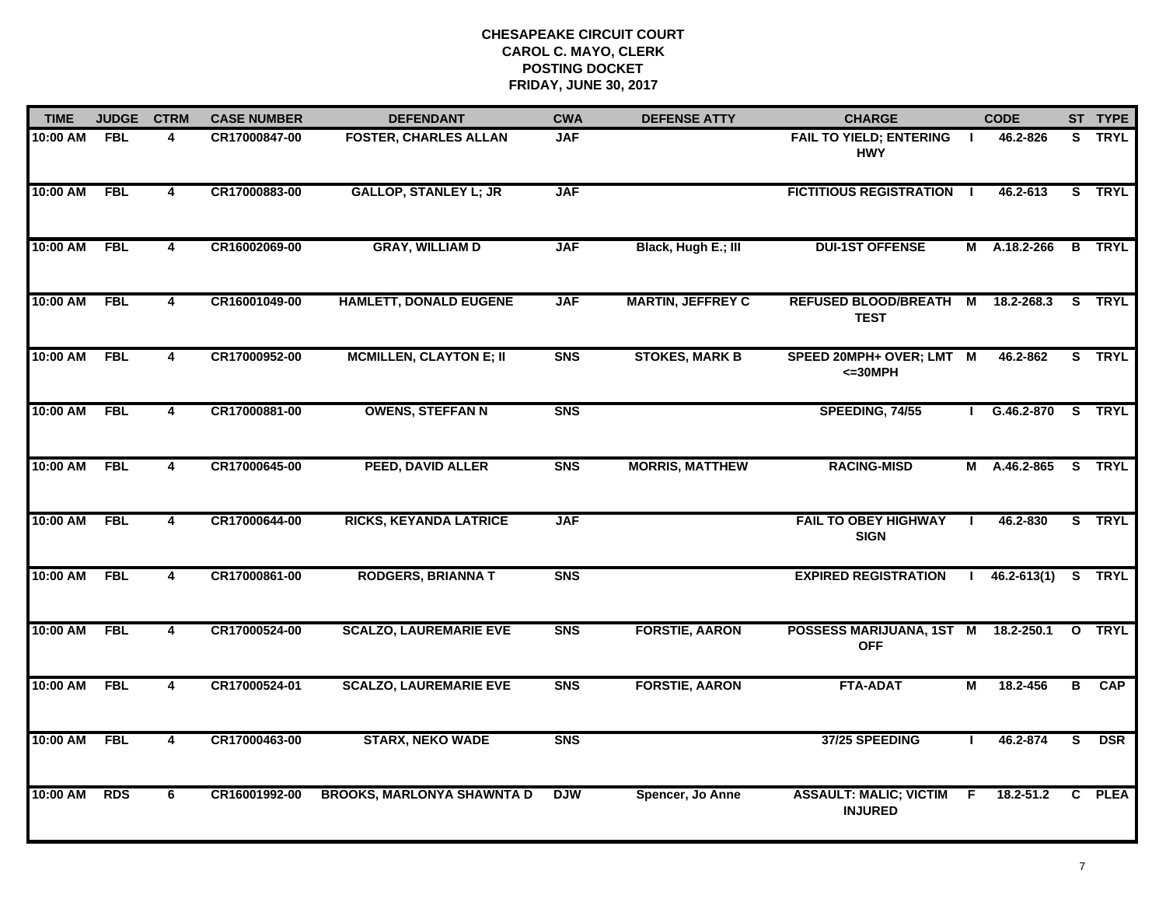| <b>TIME</b>  | <b>JUDGE</b> | <b>CTRM</b>             | <b>CASE NUMBER</b> | <b>DEFENDANT</b>                  | <b>CWA</b>     | <b>DEFENSE ATTY</b>      | <b>CHARGE</b>                                   |              | <b>CODE</b>         |   | ST TYPE       |
|--------------|--------------|-------------------------|--------------------|-----------------------------------|----------------|--------------------------|-------------------------------------------------|--------------|---------------------|---|---------------|
| 10:00 AM FBL |              | 4                       | CR17000847-00      | <b>FOSTER, CHARLES ALLAN</b>      | <b>JAF</b>     |                          | <b>FAIL TO YIELD; ENTERING</b><br><b>HWY</b>    | $\mathbf{I}$ | 46.2-826            |   | S TRYL        |
| 10:00 AM     | FBL          | $\overline{\mathbf{4}}$ | CR17000883-00      | <b>GALLOP, STANLEY L; JR</b>      | <b>JAF</b>     |                          | <b>FICTITIOUS REGISTRATION I</b>                |              | 46.2-613            |   | S TRYL        |
| 10:00 AM     | <b>FBL</b>   | 4                       | CR16002069-00      | <b>GRAY, WILLIAM D</b>            | <b>JAF</b>     | Black, Hugh E.; III      | <b>DUI-1ST OFFENSE</b>                          |              | M A.18.2-266        |   | <b>B</b> TRYL |
| 10:00 AM     | <b>FBL</b>   | 4                       | CR16001049-00      | <b>HAMLETT, DONALD EUGENE</b>     | <b>JAF</b>     | <b>MARTIN, JEFFREY C</b> | REFUSED BLOOD/BREATH M<br><b>TEST</b>           |              | 18.2-268.3          |   | S TRYL        |
| 10:00 AM     | <b>FBL</b>   | 4                       | CR17000952-00      | <b>MCMILLEN, CLAYTON E; II</b>    | <b>SNS</b>     | <b>STOKES, MARK B</b>    | SPEED 20MPH+ OVER; LMT M<br>$<=30MPH$           |              | 46.2-862            |   | S TRYL        |
| 10:00 AM     | <b>FBL</b>   | 4                       | CR17000881-00      | <b>OWENS, STEFFAN N</b>           | <b>SNS</b>     |                          | SPEEDING, 74/55                                 |              | I G.46.2-870 S TRYL |   |               |
| 10:00 AM     | <b>FBL</b>   | $\overline{\mathbf{4}}$ | CR17000645-00      | PEED, DAVID ALLER                 | <b>SNS</b>     | <b>MORRIS, MATTHEW</b>   | <b>RACING-MISD</b>                              |              | M A.46.2-865 S TRYL |   |               |
| 10:00 AM     | FBL          | 4                       | CR17000644-00      | <b>RICKS, KEYANDA LATRICE</b>     | <b>JAF</b>     |                          | <b>FAIL TO OBEY HIGHWAY</b><br><b>SIGN</b>      |              | 46.2-830            |   | S TRYL        |
| 10:00 AM     | <b>FBL</b>   | 4                       | CR17000861-00      | <b>RODGERS, BRIANNA T</b>         | S <sub>N</sub> |                          | <b>EXPIRED REGISTRATION</b>                     |              | $46.2 - 613(1)$     |   | S TRYL        |
| 10:00 AM     | <b>FBL</b>   | 4                       | CR17000524-00      | <b>SCALZO, LAUREMARIE EVE</b>     | <b>SNS</b>     | <b>FORSTIE, AARON</b>    | POSSESS MARIJUANA, 1ST M<br><b>OFF</b>          |              | 18.2-250.1          |   | O TRYL        |
| 10:00 AM     | <b>FBL</b>   | $\overline{\mathbf{4}}$ | CR17000524-01      | <b>SCALZO, LAUREMARIE EVE</b>     | <b>SNS</b>     | <b>FORSTIE, AARON</b>    | <b>FTA-ADAT</b>                                 | М            | 18.2-456            | В | <b>CAP</b>    |
| 10:00 AM     | <b>FBL</b>   | 4                       | CR17000463-00      | <b>STARX, NEKO WADE</b>           | <b>SNS</b>     |                          | 37/25 SPEEDING                                  |              | 46.2-874            | s | <b>DSR</b>    |
| 10:00 AM     | <b>RDS</b>   | 6                       | CR16001992-00      | <b>BROOKS, MARLONYA SHAWNTA D</b> | <b>DJW</b>     | Spencer, Jo Anne         | <b>ASSAULT: MALIC; VICTIM</b><br><b>INJURED</b> | F.           | 18.2-51.2           |   | C PLEA        |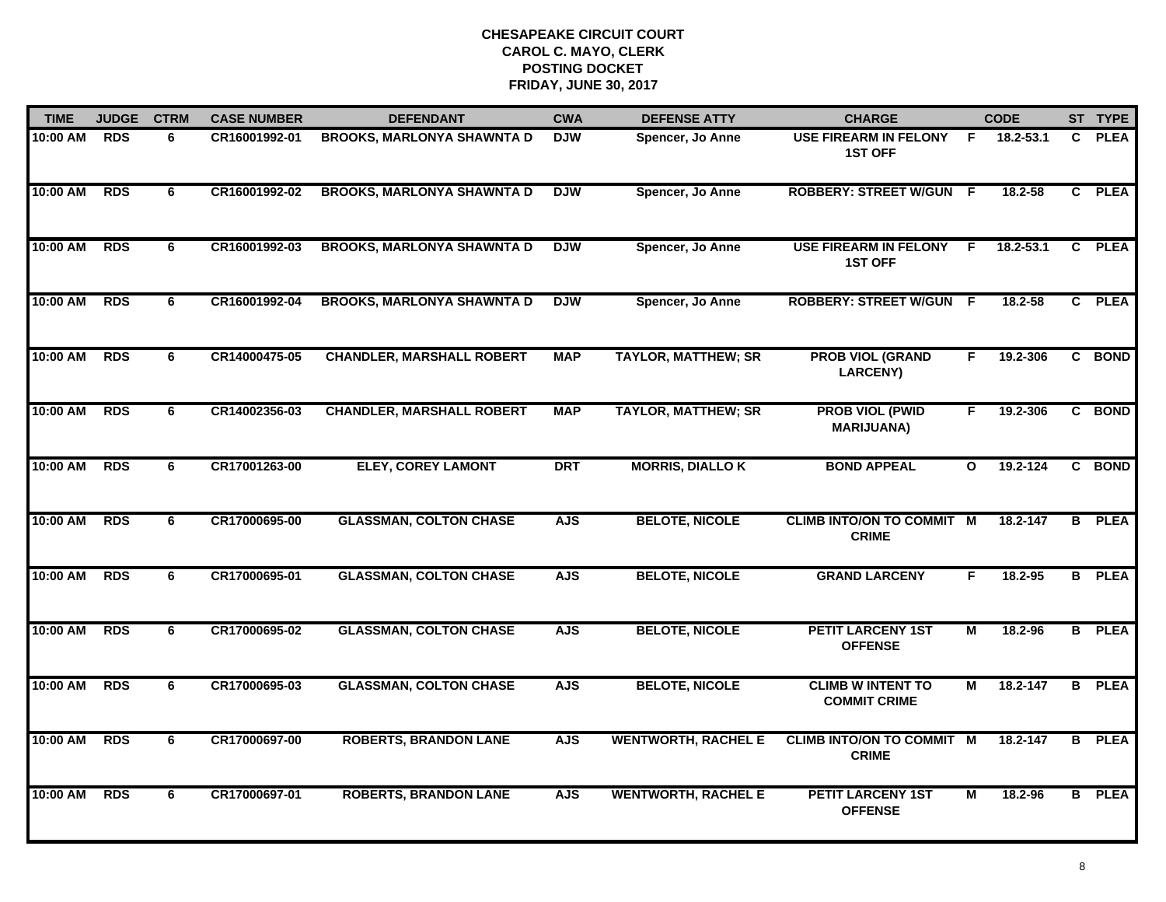| <b>TIME</b> | <b>JUDGE</b> | <b>CTRM</b> | <b>CASE NUMBER</b> | <b>DEFENDANT</b>                  | <b>CWA</b> | <b>DEFENSE ATTY</b>        | <b>CHARGE</b>                                    |              | <b>CODE</b>  |    | ST TYPE       |
|-------------|--------------|-------------|--------------------|-----------------------------------|------------|----------------------------|--------------------------------------------------|--------------|--------------|----|---------------|
| 10:00 AM    | <b>RDS</b>   | 6           | CR16001992-01      | <b>BROOKS, MARLONYA SHAWNTA D</b> | <b>DJW</b> | Spencer, Jo Anne           | <b>USE FIREARM IN FELONY</b><br><b>1ST OFF</b>   | -F.          | 18.2-53.1    | C. | <b>PLEA</b>   |
| 10:00 AM    | <b>RDS</b>   | 6           | CR16001992-02      | <b>BROOKS, MARLONYA SHAWNTA D</b> | <b>DJW</b> | Spencer, Jo Anne           | <b>ROBBERY: STREET W/GUN F</b>                   |              | 18.2-58      |    | C PLEA        |
| 10:00 AM    | <b>RDS</b>   | 6           | CR16001992-03      | <b>BROOKS, MARLONYA SHAWNTA D</b> | <b>DJW</b> | Spencer, Jo Anne           | <b>USE FIREARM IN FELONY</b><br><b>1ST OFF</b>   | E            | 18.2-53.1    |    | C PLEA        |
| 10:00 AM    | <b>RDS</b>   | 6           | CR16001992-04      | <b>BROOKS, MARLONYA SHAWNTA D</b> | <b>DJW</b> | Spencer, Jo Anne           | <b>ROBBERY: STREET W/GUN F</b>                   |              | 18.2-58      |    | C PLEA        |
| 10:00 AM    | <b>RDS</b>   | 6           | CR14000475-05      | <b>CHANDLER, MARSHALL ROBERT</b>  | <b>MAP</b> | <b>TAYLOR, MATTHEW; SR</b> | <b>PROB VIOL (GRAND</b><br><b>LARCENY)</b>       | F.           | 19.2-306     |    | C BOND        |
| 10:00 AM    | <b>RDS</b>   | 6           | CR14002356-03      | <b>CHANDLER, MARSHALL ROBERT</b>  | <b>MAP</b> | <b>TAYLOR, MATTHEW; SR</b> | <b>PROB VIOL (PWID</b><br><b>MARIJUANA)</b>      | F.           | 19.2-306     |    | C BOND        |
| 10:00 AM    | <b>RDS</b>   | 6           | CR17001263-00      | <b>ELEY, COREY LAMONT</b>         | <b>DRT</b> | <b>MORRIS, DIALLO K</b>    | <b>BOND APPEAL</b>                               | $\mathbf{o}$ | 19.2-124     |    | C BOND        |
| 10:00 AM    | <b>RDS</b>   | 6           | CR17000695-00      | <b>GLASSMAN, COLTON CHASE</b>     | <b>AJS</b> | <b>BELOTE, NICOLE</b>      | <b>CLIMB INTO/ON TO COMMIT M</b><br><b>CRIME</b> |              | 18.2-147     |    | <b>B</b> PLEA |
| 10:00 AM    | RDS          | 6           | CR17000695-01      | <b>GLASSMAN, COLTON CHASE</b>     | <b>AJS</b> | <b>BELOTE, NICOLE</b>      | <b>GRAND LARCENY</b>                             | F            | 18.2-95      |    | <b>B</b> PLEA |
| 10:00 AM    | <b>RDS</b>   | 6           | CR17000695-02      | <b>GLASSMAN, COLTON CHASE</b>     | <b>AJS</b> | <b>BELOTE, NICOLE</b>      | <b>PETIT LARCENY 1ST</b><br><b>OFFENSE</b>       | М            | 18.2-96      |    | <b>B</b> PLEA |
| 10:00 AM    | <b>RDS</b>   | 6           | CR17000695-03      | <b>GLASSMAN, COLTON CHASE</b>     | <b>AJS</b> | <b>BELOTE, NICOLE</b>      | <b>CLIMB W INTENT TO</b><br><b>COMMIT CRIME</b>  | М            | 18.2-147     |    | <b>B</b> PLEA |
| 10:00 AM    | <b>RDS</b>   | 6           | CR17000697-00      | <b>ROBERTS, BRANDON LANE</b>      | <b>AJS</b> | <b>WENTWORTH, RACHEL E</b> | <b>CLIMB INTO/ON TO COMMIT M</b><br><b>CRIME</b> |              | $18.2 - 147$ |    | <b>B</b> PLEA |
| 10:00 AM    | <b>RDS</b>   | 6           | CR17000697-01      | <b>ROBERTS, BRANDON LANE</b>      | <b>AJS</b> | <b>WENTWORTH, RACHEL E</b> | <b>PETIT LARCENY 1ST</b><br><b>OFFENSE</b>       | М            | 18.2-96      |    | <b>B</b> PLEA |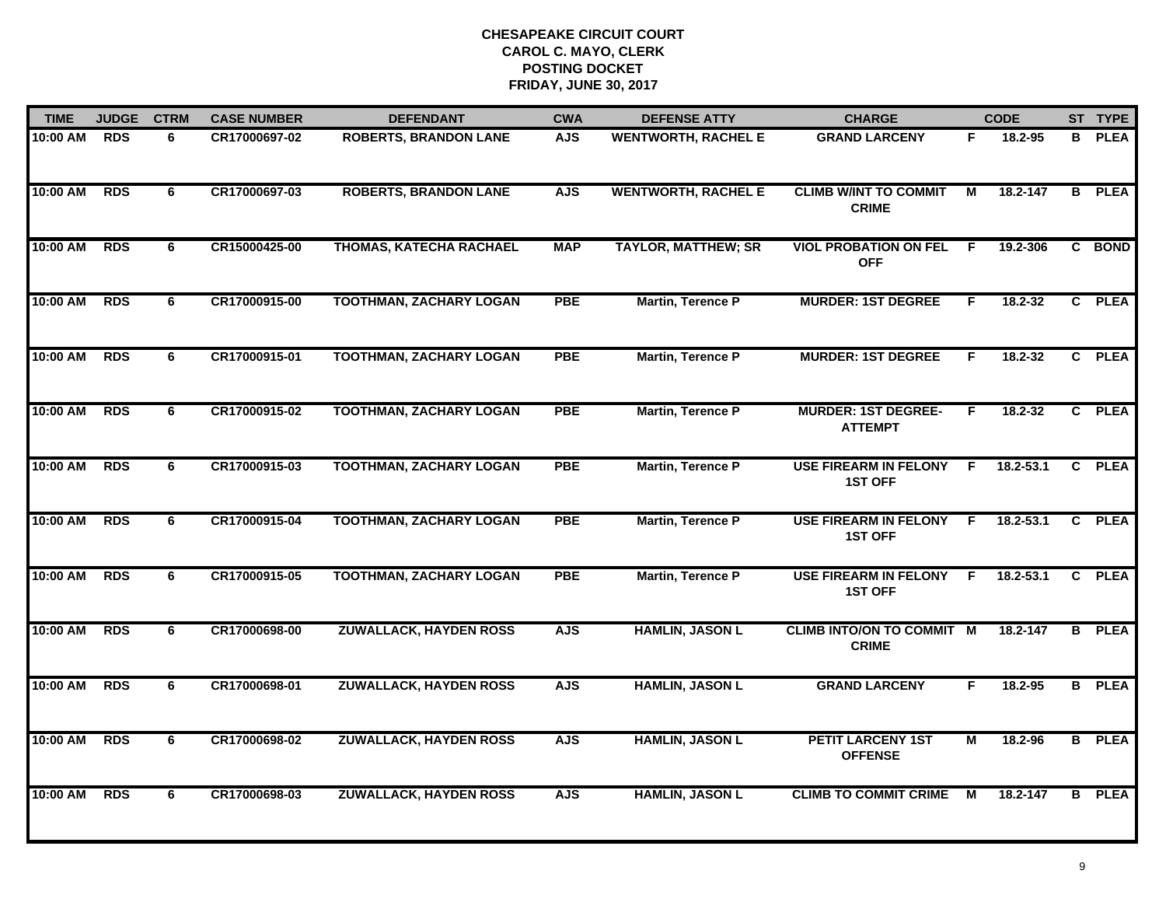| <b>TIME</b> | <b>JUDGE</b> | <b>CTRM</b> | <b>CASE NUMBER</b> | <b>DEFENDANT</b>               | <b>CWA</b> | <b>DEFENSE ATTY</b>        | <b>CHARGE</b>                                    |                | <b>CODE</b>   |    | ST TYPE       |
|-------------|--------------|-------------|--------------------|--------------------------------|------------|----------------------------|--------------------------------------------------|----------------|---------------|----|---------------|
| 10:00 AM    | <b>RDS</b>   | 6           | CR17000697-02      | <b>ROBERTS, BRANDON LANE</b>   | <b>AJS</b> | <b>WENTWORTH, RACHEL E</b> | <b>GRAND LARCENY</b>                             | F              | 18.2-95       | B. | <b>PLEA</b>   |
| 10:00 AM    | <b>RDS</b>   | 6           | CR17000697-03      | <b>ROBERTS, BRANDON LANE</b>   | <b>AJS</b> | <b>WENTWORTH, RACHEL E</b> | <b>CLIMB W/INT TO COMMIT</b><br><b>CRIME</b>     | м              | 18.2-147      |    | <b>B</b> PLEA |
| 10:00 AM    | <b>RDS</b>   | 6           | CR15000425-00      | THOMAS, KATECHA RACHAEL        | <b>MAP</b> | <b>TAYLOR, MATTHEW; SR</b> | <b>VIOL PROBATION ON FEL</b><br><b>OFF</b>       | -F             | 19.2-306      |    | C BOND        |
| 10:00 AM    | <b>RDS</b>   | 6           | CR17000915-00      | <b>TOOTHMAN, ZACHARY LOGAN</b> | <b>PBE</b> | Martin, Terence P          | <b>MURDER: 1ST DEGREE</b>                        | F              | 18.2-32       |    | C PLEA        |
| 10:00 AM    | <b>RDS</b>   | 6           | CR17000915-01      | <b>TOOTHMAN, ZACHARY LOGAN</b> | <b>PBE</b> | Martin, Terence P          | <b>MURDER: 1ST DEGREE</b>                        | F.             | 18.2-32       |    | C PLEA        |
| 10:00 AM    | <b>RDS</b>   | 6           | CR17000915-02      | <b>TOOTHMAN, ZACHARY LOGAN</b> | <b>PBE</b> | Martin, Terence P          | <b>MURDER: 1ST DEGREE-</b><br><b>ATTEMPT</b>     | F.             | 18.2-32       |    | C PLEA        |
| 10:00 AM    | <b>RDS</b>   | 6           | CR17000915-03      | <b>TOOTHMAN, ZACHARY LOGAN</b> | <b>PBE</b> | <b>Martin, Terence P</b>   | <b>USE FIREARM IN FELONY</b><br><b>1ST OFF</b>   | F.             | $18.2 - 53.1$ |    | C PLEA        |
| 10:00 AM    | <b>RDS</b>   | 6           | CR17000915-04      | <b>TOOTHMAN, ZACHARY LOGAN</b> | <b>PBE</b> | <b>Martin, Terence P</b>   | <b>USE FIREARM IN FELONY</b><br><b>1ST OFF</b>   | E              | $18.2 - 53.1$ |    | C PLEA        |
| 10:00 AM    | <b>RDS</b>   | 6           | CR17000915-05      | <b>TOOTHMAN, ZACHARY LOGAN</b> | <b>PBE</b> | <b>Martin, Terence P</b>   | <b>USE FIREARM IN FELONY</b><br><b>1ST OFF</b>   | F.             | 18.2-53.1     |    | C PLEA        |
| 10:00 AM    | <b>RDS</b>   | 6           | CR17000698-00      | <b>ZUWALLACK, HAYDEN ROSS</b>  | <b>AJS</b> | <b>HAMLIN, JASON L</b>     | <b>CLIMB INTO/ON TO COMMIT M</b><br><b>CRIME</b> |                | 18.2-147      |    | <b>B</b> PLEA |
| 10:00 AM    | <b>RDS</b>   | 6           | CR17000698-01      | <b>ZUWALLACK, HAYDEN ROSS</b>  | <b>AJS</b> | <b>HAMLIN, JASON L</b>     | <b>GRAND LARCENY</b>                             | F.             | 18.2-95       |    | <b>B</b> PLEA |
| 10:00 AM    | <b>RDS</b>   | 6           | CR17000698-02      | <b>ZUWALLACK, HAYDEN ROSS</b>  | <b>AJS</b> | <b>HAMLIN, JASON L</b>     | <b>PETIT LARCENY 1ST</b><br><b>OFFENSE</b>       | $\overline{M}$ | 18.2-96       |    | <b>B</b> PLEA |
| 10:00 AM    | <b>RDS</b>   | 6           | CR17000698-03      | <b>ZUWALLACK, HAYDEN ROSS</b>  | <b>AJS</b> | <b>HAMLIN, JASON L</b>     | <b>CLIMB TO COMMIT CRIME</b>                     | М              | 18.2-147      | B. | <b>PLEA</b>   |